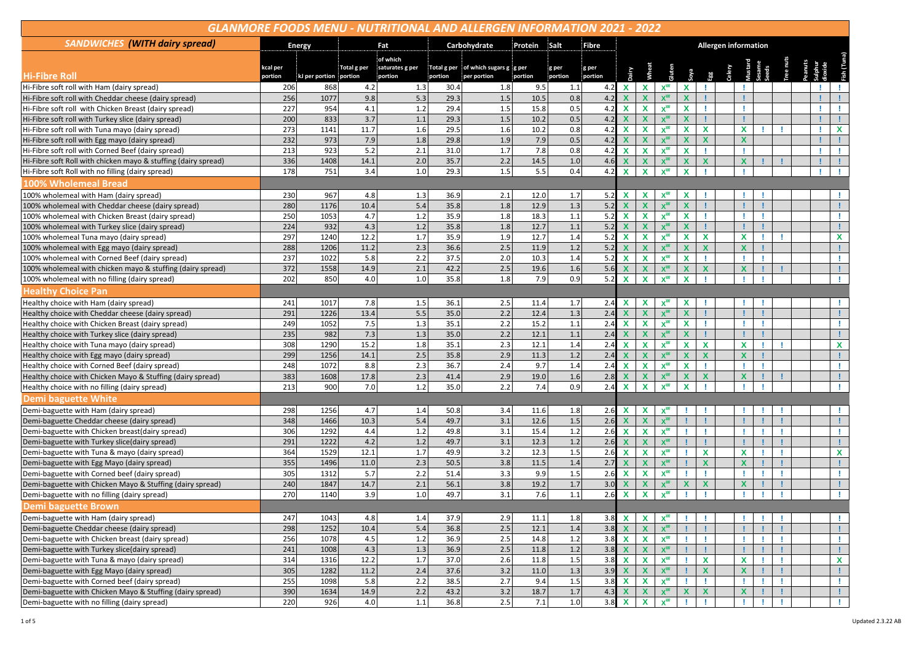| <b>GLANMORE FOODS MENU - NUTRITIONAL AND ALLERGEN INFORMATION 2021 - 2022</b> |                     |                        |             |                            |              |                                                    |         |                  |                  |                           |                           |                  |                           |                             |        |                           |    |  |  |  |              |
|-------------------------------------------------------------------------------|---------------------|------------------------|-------------|----------------------------|--------------|----------------------------------------------------|---------|------------------|------------------|---------------------------|---------------------------|------------------|---------------------------|-----------------------------|--------|---------------------------|----|--|--|--|--------------|
| <b>SANDWICHES</b> (WITH dairy spread)                                         |                     | <b>Energy</b>          | Fat         |                            | Carbohydrate |                                                    | Protein | Salt             | <b>Fibre</b>     |                           |                           |                  |                           | <b>Allergen information</b> |        |                           |    |  |  |  |              |
|                                                                               |                     |                        |             | of which                   |              |                                                    |         |                  |                  |                           |                           |                  |                           |                             |        |                           |    |  |  |  |              |
| <b>Hi-Fibre Roll</b>                                                          | kcal per<br>portion | kJ per portion portion | Total g per | saturates g per<br>portion | portion      | Total g per of which sugars g g per<br>per portion | portion | g per<br>portion | g per<br>portion |                           |                           |                  |                           |                             | Celery |                           |    |  |  |  |              |
| Hi-Fibre soft roll with Ham (dairy spread)                                    | 206                 | 868                    | 4.2         | 1.3                        | 30.4         | 1.8                                                | 9.5     | 1.1              | 4.2              | $\mathbf x$               | X                         | $x^w$            | X                         |                             |        |                           |    |  |  |  |              |
| Hi-Fibre soft roll with Cheddar cheese (dairy spread)                         | 256                 | 1077                   | 9.8         | 5.3                        | 29.3         | 1.5                                                | 10.5    | 0.8              | 4.2              |                           | X                         | $x^w$            | $\boldsymbol{x}$          |                             |        |                           |    |  |  |  |              |
| Hi-Fibre soft roll with Chicken Breast (dairy spread)                         | 227                 | 954                    | 4.1         | 1.2                        | 29.4         | 1.5                                                | 15.8    | 0.5              | 4.2              | X                         | X                         | $x^w$            | $\mathbf x$               |                             |        |                           |    |  |  |  |              |
| Hi-Fibre soft roll with Turkey slice (dairy spread)                           | 200                 | 833                    | 3.7         | 1.1                        | 29.3         | 1.5                                                | 10.2    | 0.5              | 4.2              | X                         | $\boldsymbol{\mathsf{x}}$ | $x^w$            | $\boldsymbol{\mathsf{x}}$ |                             |        |                           |    |  |  |  |              |
| Hi-Fibre soft roll with Tuna mayo (dairy spread)                              | $\overline{273}$    | 1141                   | 11.7        | 1.6                        | 29.5         | 1.6                                                | 10.2    | $\overline{0.8}$ | 4.2              | X                         | X                         | $X^{\mathsf{w}}$ | $\mathbf{x}$              | $\mathbf{x}$                |        | X                         |    |  |  |  | $\mathbf x$  |
| Hi-Fibre soft roll with Egg mayo (dairy spread)                               | 232                 | 973                    | 7.9         | 1.8                        | 29.8         | 1.9                                                | 7.9     | 0.5              | 4.2              | $\overline{\mathbf{x}}$   | $\boldsymbol{\mathsf{x}}$ | $x^w$            | X                         | $\mathbf{x}$                |        | $\boldsymbol{\mathsf{x}}$ |    |  |  |  |              |
| Hi-Fibre soft roll with Corned Beef (dairy spread)                            | 213                 | 923                    | 5.2         | 2.1                        | 31.0         | 1.7                                                | 7.8     | 0.8              | 4.2              | $\boldsymbol{\mathsf{x}}$ | X                         | $x^w$            | $\mathbf x$               |                             |        |                           |    |  |  |  |              |
| Hi-Fibre soft Roll with chicken mayo & stuffing (dairy spread)                | 336                 | 1408                   | 14.1        | 2.0                        | 35.7         | 2.2                                                | 14.5    | 1.0              | 4.6              | $\boldsymbol{\mathsf{x}}$ | X                         | $x^w$            | $\boldsymbol{x}$          | $\mathbf x$                 |        | $\mathbf x$               |    |  |  |  |              |
| Hi-Fibre soft Roll with no filling (dairy spread)                             | 178                 | 751                    | 3.4         | 1.0                        | 29.3         | 1.5                                                | 5.5     | 0.4              | 4.2              | X                         | $\mathbf x$               | $x^w$            | $\mathbf x$               |                             |        |                           |    |  |  |  |              |
| 100% Wholemeal Bread                                                          |                     |                        |             |                            |              |                                                    |         |                  |                  |                           |                           |                  |                           |                             |        |                           |    |  |  |  |              |
| 100% wholemeal with Ham (dairy spread)                                        | 230                 | 967                    | 4.8         | 1.3                        | 36.9         | 2.1                                                | 12.0    | 1.7              | 5.2              | X                         | X                         | $x^w$            | X                         |                             |        |                           |    |  |  |  |              |
| 100% wholemeal with Cheddar cheese (dairy spread)                             | 280                 | 1176                   | 10.4        | 5.4                        | 35.8         | 1.8                                                | 12.9    | 1.3              | 5.2              | X                         | X                         | $x^w$            | X                         |                             |        |                           |    |  |  |  |              |
| 100% wholemeal with Chicken Breast (dairy spread)                             | 250                 | 1053                   | 4.7         | 1.2                        | 35.9         | 1.8                                                | 18.3    | 1.1              | 5.2              | $\boldsymbol{\mathsf{x}}$ | X                         | $x^w$            | $\mathbf x$               |                             |        |                           |    |  |  |  |              |
| 100% wholemeal with Turkey slice (dairy spread)                               | 224                 | 932                    | 4.3         | 1.2                        | 35.8         | 1.8                                                | 12.7    | 1.1              | 5.2              | $\boldsymbol{\mathsf{x}}$ | X                         | $x^w$            | $\boldsymbol{x}$          |                             |        |                           |    |  |  |  |              |
| 100% wholemeal Tuna mayo (dairy spread)                                       | 297                 | 1240                   | 12.2        | 1.7                        | 35.9         | 1.9                                                | 12.7    | 1.4              | 5.2              | X                         | $\mathbf x$               | $x^w$            | $\mathbf{x}$              | $\mathbf{x}$                |        | X                         |    |  |  |  | X            |
| 100% wholemeal with Egg mayo (dairy spread)                                   | 288                 | 1206                   | 11.2        | 2.3                        | 36.6         | 2.5                                                | 11.9    | 1.2              | 5.2              | $\mathbf x$               | X                         | $x^w$            | $\mathbf x$               | X                           |        | $\boldsymbol{x}$          |    |  |  |  |              |
| 100% wholemeal with Corned Beef (dairy spread)                                | 237                 | 1022                   | 5.8         | 2.2                        | 37.5         | 2.0                                                | 10.3    | 1.4              | 5.2              | X                         | X                         | $x^w$            | X                         |                             |        |                           |    |  |  |  |              |
| 100% wholemeal with chicken mayo & stuffing (dairy spread)                    | 372                 | 1558                   | 14.9        | 2.1                        | 42.2         | 2.5                                                | 19.6    | 1.6              | 5.6              |                           | X                         | $x^w$            | $\boldsymbol{x}$          | X                           |        | $\mathbf x$               |    |  |  |  |              |
| 100% wholemeal with no filling (dairy spread)                                 | 202                 | 850                    | 4.0         | 1.0                        | 35.8         | 1.8                                                | 7.9     | 0.9              | 5.2              | $\mathbf x$               | X                         | $x^w$            | X                         |                             |        |                           |    |  |  |  |              |
| <b>Healthy Choice Pan</b>                                                     |                     |                        |             |                            |              |                                                    |         |                  |                  |                           |                           |                  |                           |                             |        |                           |    |  |  |  |              |
| Healthy choice with Ham (dairy spread)                                        | 241                 | 1017                   | 7.8         | 1.5                        | 36.1         | 2.5                                                | 11.4    | 1.7              | 2.4              | X                         | X                         | $x^w$            | X                         |                             |        |                           |    |  |  |  |              |
| Healthy choice with Cheddar cheese (dairy spread)                             | 291                 | 1226                   | 13.4        | 5.5                        | 35.0         | 2.2                                                | 12.4    | 1.3              | 2.4              | $\mathbf x$               | $\boldsymbol{\mathsf{x}}$ | $X^W$            | $\mathbf x$               |                             |        |                           |    |  |  |  |              |
| Healthy choice with Chicken Breast (dairy spread)                             | 249                 | 1052                   | 7.5         | 1.3                        | 35.1         | 2.2                                                | 15.2    | 1.1              | 2.4              | $\mathbf x$               | X                         | $x^w$            | $\mathbf{x}$              |                             |        |                           |    |  |  |  |              |
| Healthy choice with Turkey slice (dairy spread)                               | 235                 | 982                    | 7.3         | 1.3                        | 35.0         | 2.2                                                | 12.1    | 1.1              | 2.4              | $\boldsymbol{\mathsf{x}}$ | $\boldsymbol{\mathsf{x}}$ | $x^w$            | $\mathbf x$               |                             |        |                           |    |  |  |  |              |
| Healthy choice with Tuna mayo (dairy spread)                                  | 308                 | 1290                   | 15.2        | 1.8                        | 35.1         | 2.3                                                | 12.1    | 1.4              | 2.4              | X                         | X                         | $x^w$            | X                         | $\mathbf x$                 |        | X                         |    |  |  |  | X            |
| Healthy choice with Egg mayo (dairy spread)                                   | 299                 | 1256                   | 14.1        | 2.5                        | 35.8         | 2.9                                                | 11.3    | 1.2              | 2.4              |                           | X                         | $x^w$            | $\boldsymbol{x}$          | X                           |        | X                         |    |  |  |  |              |
| Healthy choice with Corned Beef (dairy spread)                                | 248                 | 1072                   | 8.8         | 2.3                        | 36.7         | 2.4                                                | 9.7     | 1.4              | 2.4              | X                         | $\mathbf x$               | $X^W$            | $\mathbf x$               |                             |        |                           |    |  |  |  |              |
| Healthy choice with Chicken Mayo & Stuffing (dairy spread)                    | 383                 | 1608                   | 17.8        | 2.3                        | 41.4         | 2.9                                                | 19.0    | 1.6              | 2.8              | X                         | X                         | $x^w$            | $\boldsymbol{x}$          | $\mathbf x$                 |        | $\boldsymbol{\mathsf{x}}$ |    |  |  |  |              |
| Healthy choice with no filling (dairy spread)                                 | 213                 | 900                    | 7.0         | 1.2                        | 35.0         | 2.2                                                | 7.4     | 0.9              | 2.4              | X                         | X                         | $x^w$            | $\boldsymbol{\mathsf{x}}$ |                             |        |                           |    |  |  |  |              |
| <b>Demi baguette White</b>                                                    |                     |                        |             |                            |              |                                                    |         |                  |                  |                           |                           |                  |                           |                             |        |                           |    |  |  |  |              |
| Demi-baguette with Ham (dairy spread)                                         | 298                 | 1256                   | 4.7         | 1.4                        | 50.8         | 3.4                                                | 11.6    | 1.8              | 2.6              | $\boldsymbol{\mathsf{x}}$ | X                         | $x^w$            |                           |                             |        |                           |    |  |  |  |              |
| Demi-baguette Cheddar cheese (dairy spread)                                   | 348                 | 1466                   | 10.3        | 5.4                        | 49.7         | 3.1                                                | 12.6    | 1.5              | 2.6              | X                         | $\boldsymbol{\mathsf{x}}$ | $x^w$            |                           |                             |        |                           |    |  |  |  |              |
| Demi-baguette with Chicken breast(dairy spread)                               | 306                 | 1292                   | 4.4         | 1.2                        | 49.8         | 3.1                                                | 15.4    | 1.2              | 2.6              | $\boldsymbol{\mathsf{x}}$ | $\mathbf x$               | $X^W$            |                           |                             |        |                           |    |  |  |  |              |
| Demi-baguette with Turkey slice(dairy spread)                                 | 291                 | 1222                   | 4.2         | 1.2                        | 49.7         | 3.1                                                | 12.3    | 1.2              | 2.6              | X                         | X                         | $X^W$            |                           |                             |        |                           |    |  |  |  |              |
| Demi-baguette with Tuna & mayo (dairy spread)                                 | 364                 | 1529                   | 12.1        | 1.7                        | 49.9         | 3.2                                                | 12.3    | $1.5\,$          | 2.6              | $\boldsymbol{\mathsf{x}}$ | $\boldsymbol{\mathsf{x}}$ | $x^w$            |                           | $\mathbf x$                 |        | X                         |    |  |  |  | X            |
| Demi-baguette with Egg Mayo (dairy spread)                                    | 355                 | 1496                   | 11.0        | 2.3                        | 50.5         | 3.8                                                | 11.5    | 1.4              | 2.7              | X                         | X                         | $X^W$            |                           | X                           |        | X                         |    |  |  |  |              |
| Demi-baguette with Corned beef (dairy spread)                                 | 305                 | 1312                   | 5.7         | 2.2                        | 51.4         | 3.3                                                | 9.9     | $1.5\,$          | 2.6              | X                         | $\mathbf x$               | $x^w$            |                           |                             |        | л                         |    |  |  |  |              |
| Demi-baguette with Chicken Mayo & Stuffing (dairy spread)                     | 240                 | 1847                   | 14.7        | 2.1                        | 56.1         | 3.8                                                | 19.2    | $1.7$            | 3.0              | $\mathbf x$               | $\boldsymbol{\mathsf{x}}$ | $x^w$            | $\mathbf x$               | $\mathbf x$                 |        | $\boldsymbol{x}$          |    |  |  |  |              |
| Demi-baguette with no filling (dairy spread)                                  | 270                 | 1140                   | 3.9         | $1.0$                      | 49.7         | 3.1                                                | 7.6     | 1.1              | 2.6              | X                         | X                         | $x^w$            |                           |                             |        |                           |    |  |  |  |              |
| <b>Demi baguette Brown</b>                                                    |                     |                        |             |                            |              |                                                    |         |                  |                  |                           |                           |                  |                           |                             |        |                           |    |  |  |  |              |
| Demi-baguette with Ham (dairy spread)                                         | 247                 | 1043                   | 4.8         | 1.4                        | 37.9         | 2.9                                                | 11.1    | 1.8              | 3.8              | $\boldsymbol{\mathsf{x}}$ | $\mathbf x$               | $X_{M}$          |                           |                             |        |                           |    |  |  |  |              |
| Demi-baguette Cheddar cheese (dairy spread)                                   | 298                 | 1252                   | 10.4        | 5.4                        | 36.8         | 2.5                                                | 12.1    | $1.4$            | 3.8              | X                         | X                         | $x^w$            |                           |                             |        |                           |    |  |  |  |              |
| Demi-baguette with Chicken breast (dairy spread)                              | 256                 | 1078                   | 4.5         | $1.2\,$                    | 36.9         | 2.5                                                | 14.8    | $1.2\,$          | 3.8              | $\mathbf x$               | $\mathbf x$               | $X^W$            |                           |                             |        |                           |    |  |  |  | т.           |
| Demi-baguette with Turkey slice(dairy spread)                                 | 241                 | 1008                   | 4.3         | 1.3                        | 36.9         | 2.5                                                | 11.8    | $1.2$            | 3.8              | $\mathbf x$               | $\boldsymbol{\mathsf{X}}$ | $X^W$            |                           |                             |        |                           |    |  |  |  |              |
| Demi-baguette with Tuna & mayo (dairy spread)                                 | 314                 | 1316                   | 12.2        | 1.7                        | 37.0         | 2.6                                                | 11.8    | $1.5\,$          | 3.8              | $\mathbf x$               | $\mathbf x$               | $X^W$            |                           | X                           |        | X                         | ٠  |  |  |  | $\mathbf{x}$ |
| Demi-baguette with Egg Mayo (dairy spread)                                    | 305                 | 1282                   | 11.2        | 2.4                        | 37.6         | 3.2                                                | 11.0    | 1.3              | 3.9              | $\boldsymbol{\mathsf{x}}$ | $\boldsymbol{\mathsf{x}}$ | $X^W$            |                           | $\boldsymbol{\mathsf{x}}$   |        | $\pmb{\chi}$              |    |  |  |  | T.           |
| Demi-baguette with Corned beef (dairy spread)                                 | 255                 | 1098                   | 5.8         | $2.2$                      | 38.5         | 2.7                                                | 9.4     | 1.5              | 3.8              | $\boldsymbol{\mathsf{X}}$ | $\pmb{\chi}$              | $x^w$            |                           |                             |        |                           | ÷  |  |  |  | т.           |
| Demi-baguette with Chicken Mayo & Stuffing (dairy spread)                     | 390                 | 1634                   | 14.9        | 2.2                        | 43.2         | 3.2                                                | 18.7    | 1.7              | 4.3              | $\boldsymbol{\mathsf{x}}$ | $\boldsymbol{\mathsf{x}}$ | $X^W$            | $\boldsymbol{\mathsf{X}}$ | $\mathbf{x}$                |        | $\pmb{\chi}$              |    |  |  |  | Ŧ.           |
| Demi-baguette with no filling (dairy spread)                                  | 220                 | 926                    | 4.0         | 1.1                        | 36.8         | 2.5                                                | 7.1     | 1.0              | 3.8              | $\mathbf{x}$              | $\mathbf x$               | $X^W$            |                           | -11                         |        | п.                        | л. |  |  |  | $\mathbf{I}$ |
|                                                                               |                     |                        |             |                            |              |                                                    |         |                  |                  |                           |                           |                  |                           |                             |        |                           |    |  |  |  |              |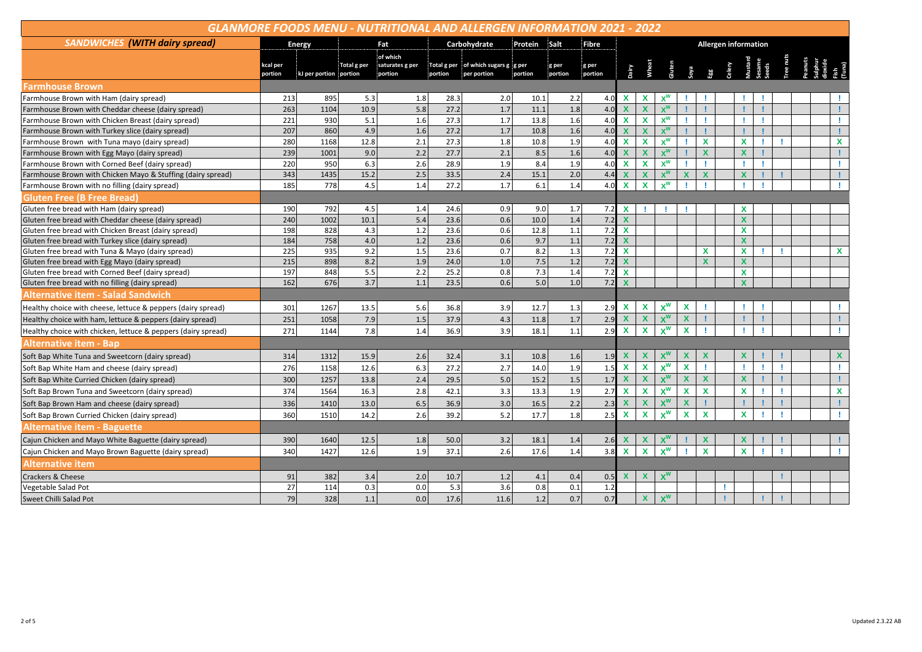| GLANMORE FOODS MENU - NUTRITIONAL AND ALLERGEN INFORMATION 2021 - 2022 |                     |                        |             |                            |         |                                                    |         |                  |                  |                             |                           |                           |                    |                           |  |                           |   |  |  |  |              |
|------------------------------------------------------------------------|---------------------|------------------------|-------------|----------------------------|---------|----------------------------------------------------|---------|------------------|------------------|-----------------------------|---------------------------|---------------------------|--------------------|---------------------------|--|---------------------------|---|--|--|--|--------------|
| <b>SANDWICHES (WITH dairy spread)</b>                                  |                     | <b>Energy</b>          |             | Fat                        |         | Carbohydrate                                       | Protein | Salt             | Fibre            | <b>Allergen information</b> |                           |                           |                    |                           |  |                           |   |  |  |  |              |
|                                                                        |                     |                        |             | of which                   |         |                                                    |         |                  |                  |                             |                           |                           |                    |                           |  |                           |   |  |  |  |              |
|                                                                        | kcal per<br>portion | kJ per portion portion | Total g per | saturates g per<br>portion | portion | Total g per of which sugars g g per<br>per portion | portion | g per<br>portion | g per<br>portion |                             |                           |                           |                    |                           |  |                           |   |  |  |  |              |
| <b>Farmhouse Brown</b>                                                 |                     |                        |             |                            |         |                                                    |         |                  |                  |                             |                           |                           |                    |                           |  |                           |   |  |  |  |              |
| Farmhouse Brown with Ham (dairy spread)                                | 213                 | 895                    | 5.3         | 1.8                        | 28.3    | 2.0                                                | 10.1    | 2.2              | 4.0              | X                           | X                         | $x^w$                     |                    |                           |  |                           |   |  |  |  |              |
| Farmhouse Brown with Cheddar cheese (dairy spread)                     | 263                 | 1104                   | 10.9        | 5.8                        | 27.2    | 1.7                                                | 11.1    | 1.8              | 4.0              | $\mathbf x$                 | $\mathbf x$               | $X^W$                     |                    | Ţ                         |  |                           |   |  |  |  |              |
| Farmhouse Brown with Chicken Breast (dairy spread)                     | 221                 | 930                    | 5.1         | 1.6                        | 27.3    | 1.7                                                | 13.8    | 1.6              | 4.0              | $\mathbf x$                 | $\mathbf x$               | $x^w$                     |                    |                           |  |                           |   |  |  |  |              |
| Farmhouse Brown with Turkey slice (dairy spread)                       | 207                 | 860                    | 4.9         | 1.6                        | 27.2    | $1.7$                                              | 10.8    | 1.6              | 4.0              | X                           | $\boldsymbol{\mathsf{x}}$ | $\mathbf{X}^{\mathbf{W}}$ |                    |                           |  |                           |   |  |  |  |              |
| Farmhouse Brown with Tuna mayo (dairy spread)                          | 280                 | 1168                   | 12.8        | 2.1                        | 27.3    | 1.8                                                | 10.8    | 1.9              | 4.0              | $\mathbf x$                 | $\mathbf x$               | $x^w$                     |                    | $\mathbf x$               |  | X                         | ۰ |  |  |  | $\mathbf{x}$ |
| Farmhouse Brown with Egg Mayo (dairy spread)                           | 239                 | 1001                   | 9.0         | 2.2                        | 27.7    | 2.1                                                | 8.5     | 1.6              | 4.0              | $\overline{\mathbf{x}}$     | $\mathbf x$               | $X^W$                     |                    | $\mathbf x$               |  | X                         |   |  |  |  |              |
| Farmhouse Brown with Corned Beef (dairy spread)                        | 220                 | 950                    | 6.3         | 2.6                        | 28.9    | 1.9                                                | 8.4     | 1.9              | 4.0              | $\mathbf x$                 | X                         | $x^w$                     |                    |                           |  |                           |   |  |  |  |              |
| Farmhouse Brown with Chicken Mayo & Stuffing (dairy spread)            | 343                 | 1435                   | 15.2        | 2.5                        | 33.5    | 2.4                                                | 15.1    | $2.0$            | 4.4              | $\mathbf x$                 | $\boldsymbol{\mathsf{x}}$ | $x^w$                     | <b>X</b>           | $\mathbf x$               |  | $\mathbf{x}$              |   |  |  |  |              |
| Farmhouse Brown with no filling (dairy spread)                         | 185                 | 778                    | 4.5         | 1.4                        | 27.2    | 1.7                                                | 6.1     | 1.4              | 4.0              | $\mathbf{x}$                | $\mathbf x$               | $x^w$                     |                    |                           |  |                           |   |  |  |  |              |
| <b>Gluten Free (B Free Bread)</b>                                      |                     |                        |             |                            |         |                                                    |         |                  |                  |                             |                           |                           |                    |                           |  |                           |   |  |  |  |              |
| Gluten free bread with Ham (dairy spread)                              | 190                 | 792                    | 4.5         | 1.4                        | 24.6    | 0.9                                                | 9.0     | 1.7              | 7.2              | $\mathbf{x}$                |                           |                           |                    |                           |  | x                         |   |  |  |  |              |
| Gluten free bread with Cheddar cheese (dairy spread)                   | 240                 | 1002                   | 10.1        | 5.4                        | 23.6    | 0.6                                                | 10.0    | 1.4              | 7.2              | $\mathbf{x}$                |                           |                           |                    |                           |  | $\mathbf x$               |   |  |  |  |              |
| Gluten free bread with Chicken Breast (dairy spread)                   | 198                 | 828                    | 4.3         | 1.2                        | 23.6    | 0.6                                                | 12.8    | 1.1              | 7.2              | $\mathbf{x}$                |                           |                           |                    |                           |  | X                         |   |  |  |  |              |
| Gluten free bread with Turkey slice (dairy spread)                     | 184                 | 758                    | 4.0         | 1.2                        | 23.6    | 0.6                                                | 9.7     | 1.1              | 7.2              | $\mathbf x$                 |                           |                           |                    |                           |  | $\boldsymbol{\mathsf{x}}$ |   |  |  |  |              |
| Gluten free bread with Tuna & Mayo (dairy spread)                      | 225                 | 935                    | 9.2         | 1.5                        | 23.6    | 0.7                                                | 8.2     | 1.3              | 7.2              | $\mathbf{x}$                |                           |                           |                    | X                         |  | X                         |   |  |  |  | $\mathbf{x}$ |
| Gluten free bread with Egg Mayo (dairy spread)                         | 215                 | 898                    | 8.2         | 1.9                        | 24.0    | 1.0                                                | 7.5     | 1.2              | 7.2              | $\mathbf x$                 |                           |                           |                    | X                         |  | <b>X</b>                  |   |  |  |  |              |
| Gluten free bread with Corned Beef (dairy spread)                      | 197                 | 848                    | 5.5         | 2.2                        | 25.2    | 0.8                                                | 7.3     | 1.4              | 7.2              | $\mathbf x$                 |                           |                           |                    |                           |  | X                         |   |  |  |  |              |
| Gluten free bread with no filling (dairy spread)                       | 162                 | 676                    | 3.7         | 1.1                        | 23.5    | 0.6                                                | 5.0     | 1.0              | 7.2              | $\mathbf x$                 |                           |                           |                    |                           |  | $\mathbf{x}$              |   |  |  |  |              |
| <b>Alternative item - Salad Sandwich</b>                               |                     |                        |             |                            |         |                                                    |         |                  |                  |                             |                           |                           |                    |                           |  |                           |   |  |  |  |              |
| Healthy choice with cheese, lettuce & peppers (dairy spread)           | 301                 | 1267                   | 13.5        | 5.6                        | 36.8    | 3.9                                                | 12.7    | 1.3              | 2.9              | $\mathbf x$                 | X                         | x <sup>w</sup>            | X                  |                           |  |                           |   |  |  |  |              |
| Healthy choice with ham, lettuce & peppers (dairy spread)              | 251                 | 1058                   | 7.9         | 1.5                        | 37.9    | 4.3                                                | 11.8    | $1.7$            | 2.9              | $\mathbf x$                 | $\mathbf x$               | $x^w$                     | X                  |                           |  |                           |   |  |  |  |              |
| Healthy choice with chicken, lettuce & peppers (dairy spread)          | 271                 | 1144                   | 7.8         | 1.4                        | 36.9    | 3.9                                                | 18.1    | 1.1              | 2.9              | $\mathbf{x}$                | $\mathbf x$               | $X^W$                     | $\mathbf{x}$       |                           |  |                           |   |  |  |  |              |
| <b>Alternative item - Bap</b>                                          |                     |                        |             |                            |         |                                                    |         |                  |                  |                             |                           |                           |                    |                           |  |                           |   |  |  |  |              |
| Soft Bap White Tuna and Sweetcorn (dairy spread)                       | 314                 | 1312                   | 15.9        | 2.6                        | 32.4    | 3.1                                                | 10.8    | 1.6              | 1.9              |                             | X                         | $\mathsf{x}^{\mathsf{w}}$ | x                  |                           |  | x                         |   |  |  |  | X            |
| Soft Bap White Ham and cheese (dairy spread)                           | 276                 | 1158                   | 12.6        | 6.3                        | 27.2    | 2.7                                                | 14.0    | 1.9              | 1.5              | $\mathbf x$                 | $\pmb{\mathsf{x}}$        | $X^W$                     | $\pmb{\mathsf{x}}$ |                           |  |                           |   |  |  |  |              |
| Soft Bap White Curried Chicken (dairy spread)                          | 300                 | 1257                   | 13.8        | 2.4                        | 29.5    | 5.0                                                | 15.2    | 1.5              | 1.7              | $\mathbf x$                 | $\mathbf x$               | $X^W$                     | $\mathbf x$        | $\boldsymbol{\mathsf{x}}$ |  | $\mathbf x$               |   |  |  |  |              |
| Soft Bap Brown Tuna and Sweetcorn (dairy spread)                       | 374                 | 1564                   | 16.3        | 2.8                        | 42.1    | 3.3                                                | 13.3    | 1.9              | 2.7              | $\mathbf{x}$                | $\mathbf x$               | $X^W$                     | X                  | X                         |  | X                         |   |  |  |  | $\mathbf x$  |
| Soft Bap Brown Ham and cheese (dairy spread)                           | 336                 | 1410                   | 13.0        | 6.5                        | 36.9    | 3.0                                                | 16.5    | 2.2              | 2.3              | $\mathbf x$                 | $\mathbf x$               | $x^w$                     | X                  |                           |  |                           |   |  |  |  |              |
| Soft Bap Brown Curried Chicken (dairy spread)                          | 360                 | 1510                   | 14.2        | 2.6                        | 39.2    | $5.2$                                              | 17.7    | 1.8              | 2.5              | $\mathbf x$                 | $\mathbf x$               | <b>v</b> <sup>W</sup>     | <b>X</b>           | $\mathbf x$               |  | $\mathbf{x}$              |   |  |  |  |              |
| <b>Alternative item - Baguette</b>                                     |                     |                        |             |                            |         |                                                    |         |                  |                  |                             |                           |                           |                    |                           |  |                           |   |  |  |  |              |
| Cajun Chicken and Mayo White Baguette (dairy spread)                   | 390                 | 1640                   | 12.5        | 1.8                        | 50.0    | 3.2                                                | 18.1    | 1.4              | 2.6              |                             | X                         |                           |                    |                           |  |                           |   |  |  |  |              |
| Cajun Chicken and Mayo Brown Baguette (dairy spread)                   | 340                 | 1427                   | 12.6        | 1.9                        | 37.1    | 2.6                                                | 17.6    | 1.4              | 3.8              | $\mathbf{x}$                | $\mathbf{x}$              | $X^W$                     |                    | $\mathbf x$               |  | $\mathbf{x}$              |   |  |  |  |              |
| <b>Alternative item</b>                                                |                     |                        |             |                            |         |                                                    |         |                  |                  |                             |                           |                           |                    |                           |  |                           |   |  |  |  |              |
| <b>Crackers &amp; Cheese</b>                                           | 91                  | 382                    | 3.4         | 2.0                        | 10.7    | 1.2                                                | 4.1     | 0.4              | 0.5              | $\mathbf x$                 | $\mathbf x$               | $x^w$                     |                    |                           |  |                           |   |  |  |  |              |
| Vegetable Salad Pot                                                    | 27                  | 114                    | 0.3         | 0.0                        | 5.3     | 3.6                                                | 0.8     | 0.1              | 1.2              |                             |                           |                           |                    |                           |  |                           |   |  |  |  |              |
| Sweet Chilli Salad Pot                                                 | 79                  | 328                    | 1.1         | 0.0                        | 17.6    | 11.6                                               | 1.2     | 0.7              | 0.7              |                             | $\pmb{\chi}$              | $X^W$                     |                    |                           |  |                           |   |  |  |  |              |
|                                                                        |                     |                        |             |                            |         |                                                    |         |                  |                  |                             |                           |                           |                    |                           |  |                           |   |  |  |  |              |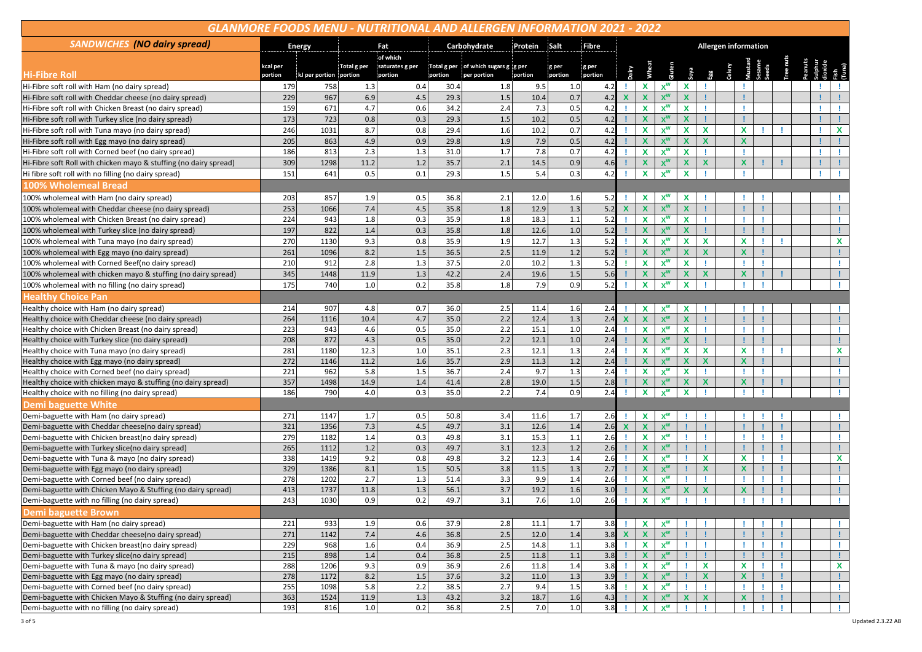| <b>GLANMORE FOODS MENU - NUTRITIONAL AND ALLERGEN INFORMATION 2021 - 2022</b>                     |               |                        |                                            |            |              |                                     |              |                |            |             |                                           |                           |                             |                             |  |                                |  |  |  |    |          |
|---------------------------------------------------------------------------------------------------|---------------|------------------------|--------------------------------------------|------------|--------------|-------------------------------------|--------------|----------------|------------|-------------|-------------------------------------------|---------------------------|-----------------------------|-----------------------------|--|--------------------------------|--|--|--|----|----------|
| <b>SANDWICHES</b> (NO dairy spread)                                                               | <b>Energy</b> |                        |                                            | Fat        |              | Carbohydrate                        | Protein      | Salt<br>Fibre  |            |             |                                           |                           |                             | <b>Allergen information</b> |  |                                |  |  |  |    |          |
|                                                                                                   | kcal per      |                        | of which<br>saturates g per<br>Total g per |            |              | Total g per of which sugars g g per |              | g per<br>g per |            |             |                                           |                           |                             |                             |  |                                |  |  |  |    |          |
| <b>Hi-Fibre Roll</b>                                                                              | portion       | kJ per portion portion |                                            | portion    | portion      | per portion                         | portion      | portion        | portion    |             |                                           |                           |                             |                             |  |                                |  |  |  |    |          |
| Hi-Fibre soft roll with Ham (no dairy spread)                                                     | 179           | 758                    | 1.3                                        | 0.4        | 30.4         | 1.8                                 | 9.5          | 1.0            | 4.2        |             | X                                         | $x^w$                     | $\mathbf{x}$                |                             |  |                                |  |  |  |    |          |
| Hi-Fibre soft roll with Cheddar cheese (no dairy spread)                                          | 229           | 967                    | 6.9                                        | 4.5        | 29.3         | 1.5                                 | 10.4         | 0.7            | 4.2        |             | $\boldsymbol{\mathsf{x}}$                 | $X^W$                     | $\boldsymbol{\mathsf{x}}$   |                             |  |                                |  |  |  |    |          |
| Hi-Fibre soft roll with Chicken Breast (no dairy spread)                                          | 159           | 671                    | 4.7                                        | 0.6        | 34.2         | 2.4                                 | 7.3          | 0.5            | 4.2        |             | $\mathbf x$                               | $x^w$                     | $\mathbf x$                 |                             |  | u                              |  |  |  |    |          |
| Hi-Fibre soft roll with Turkey slice (no dairy spread)                                            | 173           | 723                    | 0.8                                        | 0.3        | 29.3         | 1.5                                 | 10.2         | 0.5            | 4.2        |             | $\boldsymbol{\mathsf{x}}$                 | $X^W$                     | $\mathbf x$                 |                             |  | ÷                              |  |  |  |    |          |
| Hi-Fibre soft roll with Tuna mayo (no dairy spread)                                               | 246           | 1031                   | 8.7                                        | 0.8        | 29.4         | 1.6                                 | 10.2         | 0.7            | 4.2        |             | X                                         | $x^w$                     | $\mathbf{x}$                | X                           |  | $\mathbf x$                    |  |  |  | т. | X        |
| Hi-Fibre soft roll with Egg mayo (no dairy spread)                                                | 205           | 863                    | 4.9                                        | 0.9        | 29.8         | 1.9                                 | 7.9          | 0.5            | 4.2        |             | $\boldsymbol{\mathsf{x}}$                 | $x^w$                     | $\mathbf x$                 | $\mathbf x$                 |  | $\boldsymbol{\mathsf{X}}$      |  |  |  |    |          |
| Hi-Fibre soft roll with Corned beef (no dairy spread)                                             | 186           | 813                    | 2.3                                        | 1.3        | 31.0         | 1.7                                 | 7.8          | 0.7            | 4.2        |             | $\mathbf x$                               | $x^w$                     | $\mathbf{x}$                |                             |  | ÷.                             |  |  |  | ٠  |          |
| Hi-Fibre soft Roll with chicken mayo & stuffing (no dairy spread)                                 | 309           | 1298                   | 11.2                                       | 1.2        | 35.7         | 2.1                                 | 14.5         | 0.9            | 4.6        |             | $\boldsymbol{\mathsf{x}}$                 | $x^w$                     | $\mathbf x$                 | $\mathbf x$                 |  | $\mathbf x$                    |  |  |  |    |          |
| Hi fibre soft roll with no filling (no dairy spread)                                              | 151           | 641                    | 0.5                                        | 0.1        | 29.3         | 1.5                                 | 5.4          | 0.3            | 4.2        |             | $\mathbf x$                               | $x^w$                     | $\mathbf{x}$                |                             |  |                                |  |  |  |    |          |
| 100% Wholemeal Bread                                                                              |               |                        |                                            |            |              |                                     |              |                |            |             |                                           |                           |                             |                             |  |                                |  |  |  |    |          |
| 100% wholemeal with Ham (no dairy spread)                                                         | 203           | 857                    | 1.9                                        | 0.5        | 36.8         | 2.1                                 | 12.0         | 1.6            | 5.2        |             | X                                         | $x^w$                     | X                           |                             |  |                                |  |  |  |    |          |
| 100% wholemeal with Cheddar cheese (no dairy spread)                                              | 253           | 1066                   | 7.4                                        | 4.5        | 35.8         | 1.8                                 | 12.9         | 1.3            | 5.2        | $\mathbf x$ | $\mathbf{x}$                              | $X^W$                     | $\mathbf{x}$                |                             |  | ÷                              |  |  |  |    |          |
| 100% wholemeal with Chicken Breast (no dairy spread)                                              | 224           | 943                    | 1.8                                        | 0.3        | 35.9         | 1.8                                 | 18.3         | 1.1            | 5.2        |             | $\pmb{\chi}$                              | $x^w$                     | $\mathbf{x}$                |                             |  | ı                              |  |  |  |    |          |
|                                                                                                   | 197           | 822                    | 1.4                                        | 0.3        | 35.8         | 1.8                                 | 12.6         | 1.0            | 5.2        |             | $\boldsymbol{\mathsf{x}}$                 | $X^W$                     | $\mathbf x$                 |                             |  | -1                             |  |  |  |    |          |
| 100% wholemeal with Turkey slice (no dairy spread)                                                | 270           | 1130                   | 9.3                                        | 0.8        | 35.9         | 1.9                                 | 12.7         | 1.3            | 5.2        |             | $\mathbf x$                               | $x^w$                     | $\mathbf{x}$                | $\mathbf x$                 |  | $\mathbf x$                    |  |  |  |    | X        |
| 100% wholemeal with Tuna mayo (no dairy spread)                                                   | 261           |                        | 8.2                                        | 1.5        | 36.5         | 2.5                                 |              | 1.2            | 5.2        |             | $\boldsymbol{\mathsf{x}}$                 | $x^w$                     | $\boldsymbol{\mathsf{x}}$   | $\mathbf x$                 |  | $\boldsymbol{\mathsf{X}}$      |  |  |  |    |          |
| 100% wholemeal with Egg mayo (no dairy spread)                                                    |               | 1096                   | 2.8                                        |            | 37.5         | 2.0                                 | 11.9<br>10.2 | 1.3            | 5.2        |             |                                           |                           | $\mathbf{x}$                |                             |  |                                |  |  |  |    |          |
| 100% wholemeal with Corned Beef(no dairy spread)                                                  | 210           | 912                    |                                            | 1.3        |              |                                     |              |                |            |             | X                                         | $x^w$                     |                             |                             |  | ÷.                             |  |  |  |    |          |
| 100% wholemeal with chicken mayo & stuffing (no dairy spread)                                     | 345           | 1448                   | 11.9                                       | 1.3        | 42.2         | 2.4                                 | 19.6         | 1.5<br>0.9     | 5.6        |             | $\mathbf{x}$                              | $x^w$<br>$x^w$            | $\mathbf x$                 | $\mathbf{x}$                |  | $\mathbf x$                    |  |  |  |    |          |
| 100% wholemeal with no filling (no dairy spread)                                                  | 175           | 740                    | 1.0                                        | 0.2        | 35.8         | 1.8                                 | 7.9          |                | 5.2        |             | $\mathbf x$                               |                           | $\mathbf{x}$                |                             |  | <b>I</b>                       |  |  |  |    |          |
| <b>lealthy Choice Pan</b>                                                                         |               |                        |                                            |            |              |                                     |              |                |            |             |                                           |                           |                             |                             |  |                                |  |  |  |    |          |
| Healthy choice with Ham (no dairy spread)                                                         | 214           | 907                    | 4.8                                        | 0.7        | 36.0         | 2.5                                 | 11.4         | 1.6            | 2.4        |             | $\mathbf x$                               | $x^w$                     | $\mathbf{x}$                |                             |  | -1                             |  |  |  |    |          |
| Healthy choice with Cheddar cheese (no dairy spread)                                              | 264           | 1116                   | 10.4                                       | 4.7        | 35.0         | 2.2                                 | 12.4         | 1.3            | 2.4        |             | $\boldsymbol{\mathsf{x}}$                 | $X^W$                     | $\boldsymbol{\mathsf{x}}$   |                             |  | ÷                              |  |  |  |    |          |
| Healthy choice with Chicken Breast (no dairy spread)                                              | 223           | 943                    | 4.6                                        | 0.5        | 35.0         | 2.2                                 | 15.1         | 1.0            | 2.4        |             | $\mathbf{x}$                              | $X_{M}$                   | $\mathbf{x}$                |                             |  | J.                             |  |  |  |    |          |
| Healthy choice with Turkey slice (no dairy spread)                                                | 208           | 872                    | 4.3                                        | 0.5        | 35.0         | 2.2                                 | 12.1         | 1.0            | 2.4        |             | $\boldsymbol{\mathsf{x}}$                 | $x^w$                     | $\boldsymbol{\mathsf{x}}$   |                             |  |                                |  |  |  |    |          |
| Healthy choice with Tuna mayo (no dairy spread)                                                   | 281           | 1180                   | 12.3                                       | 1.0        | 35.1         | 2.3                                 | 12.1         | 1.3            | 2.4        |             | $\pmb{\chi}$                              | $x^w$                     | $\mathbf{x}$                | X                           |  | X                              |  |  |  |    | X        |
| Healthy choice with Egg mayo (no dairy spread)                                                    | 272<br>221    | 1146<br>962            | 11.2                                       | 1.6        | 35.7<br>36.7 | 2.9<br>2.4                          | 11.3<br>9.7  | 1.2<br>1.3     | 2.4<br>2.4 |             | $\mathbf{x}$                              | $X^W$                     | $\mathbf x$                 | $\boldsymbol{\mathsf{x}}$   |  | $\boldsymbol{\mathsf{x}}$      |  |  |  |    |          |
| Healthy choice with Corned beef (no dairy spread)                                                 | 357           |                        | 5.8                                        | 1.5        |              |                                     |              | 1.5            |            |             | X                                         | $x^w$                     | $\mathbf{x}$                |                             |  | п                              |  |  |  |    |          |
| Healthy choice with chicken mayo & stuffing (no dairy spread)                                     | 186           | 1498<br>790            | 14.9<br>4.0                                | 1.4<br>0.3 | 41.4<br>35.0 | 2.8<br>2.2                          | 19.0<br>7.4  | 0.9            | 2.8<br>2.4 |             | $\mathbf{x}$<br>$\mathbf x$               | $x^w$<br>$x^w$            | $\mathbf x$<br>$\mathbf{x}$ | $\mathbf{x}$                |  | $\boldsymbol{\mathsf{x}}$      |  |  |  |    |          |
| Healthy choice with no filling (no dairy spread)                                                  |               |                        |                                            |            |              |                                     |              |                |            |             |                                           |                           |                             |                             |  |                                |  |  |  |    |          |
| <b>Demi baguette White</b>                                                                        |               |                        |                                            |            |              |                                     |              |                |            |             |                                           |                           |                             |                             |  |                                |  |  |  |    |          |
| Demi-baguette with Ham (no dairy spread)                                                          | 271           | 1147                   | 1.7                                        | 0.5        | 50.8         | 3.4                                 | 11.6         | 1.7            | 2.6        |             | X                                         | $x^w$                     |                             |                             |  |                                |  |  |  |    |          |
| Demi-baguette with Cheddar cheese(no dairy spread)                                                | 321           | 1356                   | 7.3                                        | 4.5        | 49.7         | 3.1                                 | 12.6         | 1.4            | 2.6        |             | $\mathbf x$                               | $x^w$                     |                             |                             |  |                                |  |  |  |    |          |
| Demi-baguette with Chicken breast(no dairy spread)                                                | 279           | 1182                   | 1.4                                        | 0.3        | 49.8         | 3.1                                 | 15.3         | 1.1            | 2.6        |             | X                                         | $x^w$                     |                             |                             |  | п                              |  |  |  |    |          |
| Demi-baguette with Turkey slice(no dairy spread)                                                  | 265<br>338    | 1112<br>1419           | 1.2<br>9.2                                 | 0.3<br>0.8 | 49.7<br>49.8 | 3.1<br>3.2                          | 12.3<br>12.3 | 1.2<br>1.4     | 2.6<br>2.6 |             | $\boldsymbol{\mathsf{x}}$                 | $X^W$<br>$x^w$            | л.                          | $\mathbf x$                 |  | ч                              |  |  |  |    |          |
| Demi-baguette with Tuna & mayo (no dairy spread)                                                  | 329           | 1386                   | 8.1                                        | 1.5        | 50.5         | 3.8                                 | 11.5         | 1.3            | 2.7        |             | $\mathbf{x}$<br>$\boldsymbol{\mathsf{x}}$ | $x^w$                     |                             | $\mathbf x$                 |  | X<br>$\boldsymbol{\mathsf{X}}$ |  |  |  |    | X        |
| Demi-baguette with Egg mayo (no dairy spread)<br>Demi-baguette with Corned beef (no dairy spread) | 278           | 1202                   | 2.7                                        | 1.3        | 51.4         | 3.3                                 | 9.9          | 1.4            | 2.6        |             | $\mathbf x$                               | $X^W$                     |                             |                             |  | - I                            |  |  |  |    |          |
| Demi-baguette with Chicken Mayo & Stuffing (no dairy spread)                                      | 413           | 1737                   | 11.8                                       | 1.3        | 56.1         | 3.7                                 | 19.2         | 1.6            | 3.0        |             | $\boldsymbol{\mathsf{x}}$                 | $x^w$                     | $\boldsymbol{\mathsf{x}}$   | $\boldsymbol{\mathsf{x}}$   |  | $\boldsymbol{\mathsf{x}}$      |  |  |  |    |          |
| Demi-baguette with no filling (no dairy spread)                                                   | 243           | 1030                   | 0.9                                        | 0.2        | 49.7         | 3.1                                 | 7.6          | 1.0            | 2.6        |             | X                                         | $X^W$                     |                             |                             |  |                                |  |  |  |    |          |
| Demi baguette Brown                                                                               |               |                        |                                            |            |              |                                     |              |                |            |             |                                           |                           |                             |                             |  |                                |  |  |  |    |          |
| Demi-baguette with Ham (no dairy spread)                                                          | 221           | 933                    | 1.9                                        | 0.6        | 37.9         | 2.8                                 | 11.1         | 1.7            | 3.8        |             | $\mathbf{x}$                              | $x^w$                     | <b>I</b>                    |                             |  | п.                             |  |  |  |    |          |
| Demi-baguette with Cheddar cheese(no dairy spread)                                                | 271           | 1142                   | 7.4                                        | 4.6        | 36.8         | 2.5                                 | 12.0         | 1.4            | 3.8        |             | $\boldsymbol{\mathsf{x}}$                 | $x^w$                     |                             |                             |  |                                |  |  |  |    |          |
| Demi-baguette with Chicken breast(no dairy spread)                                                | 229           | 968                    | 1.6                                        | 0.4        | 36.9         | 2.5                                 | 14.8         | 1.1            | 3.8        |             | $\mathbf x$                               | $x^w$                     |                             |                             |  |                                |  |  |  |    | п.       |
| Demi-baguette with Turkey slice(no dairy spread)                                                  | 215           | 898                    | 1.4                                        | 0.4        | 36.8         | $2.5$                               | 11.8         | $1.1$          | 3.8        |             | $\boldsymbol{\mathsf{x}}$                 | $\mathbf{X}^{\mathbf{W}}$ |                             |                             |  | u                              |  |  |  |    |          |
| Demi-baguette with Tuna & mayo (no dairy spread)                                                  | 288           | 1206                   | 9.3                                        | 0.9        | 36.9         | 2.6                                 | 11.8         | 1.4            | 3.8        |             | $\mathbf x$                               | $X_{M}$                   |                             | X                           |  | X                              |  |  |  |    | <b>X</b> |
| Demi-baguette with Egg mayo (no dairy spread)                                                     | 278           | 1172                   | 8.2                                        | 1.5        | 37.6         | $3.2$                               | 11.0         | 1.3            | 3.9        |             | $\boldsymbol{\mathsf{X}}$                 | $\mathbf{X}^{\mathbf{W}}$ |                             | $\mathbf x$                 |  | $\boldsymbol{\mathsf{x}}$      |  |  |  |    |          |
| Demi-baguette with Corned beef (no dairy spread)                                                  | 255           | 1098                   | 5.8                                        | 2.2        | 38.5         | 2.7                                 | 9.4          | $1.5\,$        | 3.8        |             | $\mathbf x$                               | $x^w$                     | Τ.                          |                             |  | <b>I</b>                       |  |  |  |    | п.       |
| Demi-baguette with Chicken Mayo & Stuffing (no dairy spread)                                      | 363           | 1524                   | 11.9                                       | 1.3        | 43.2         | $3.2$                               | 18.7         | 1.6            | 4.3        |             | $\mathbf{x}$                              | $x^w$                     | $\mathbf{x}$                | $\pmb{\mathsf{X}}$          |  | $\mathbf x$                    |  |  |  |    | л.       |
| Demi-baguette with no filling (no dairy spread)                                                   | 193           | 816                    | 1.0                                        | 0.2        | 36.8         | 2.5                                 | 7.0          | $1.0\,$        | 3.8        |             | $\mathbf x$                               | $X_{\mathsf{M}}$          |                             |                             |  | л                              |  |  |  |    | п.       |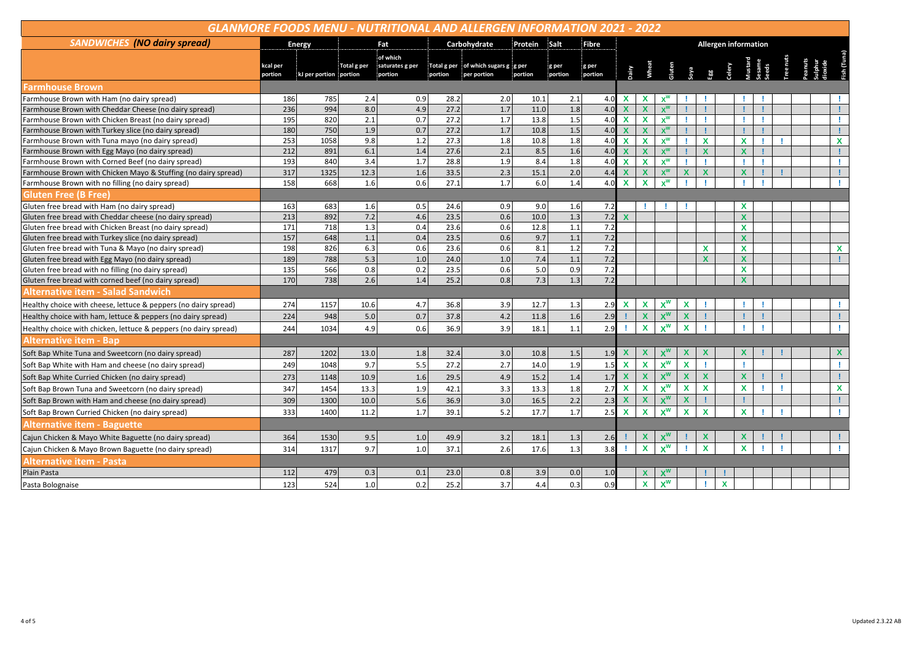| <b>SANDWICHES</b> (NO dairy spread)<br>Carbohydrate<br>Protein<br>Salt<br>Fat<br>Fibre<br><b>Allergen information</b><br><b>Energy</b><br>of which<br>Dairy<br>Wheat<br>Soya Egg<br>Celery<br>Vustand<br>Seeds<br>saturates g per<br>Total g per<br>Total g per of which sugars g ig per<br>kcal per<br>g per<br>g per<br>portion<br>portion<br>portion<br>portion<br>per portion<br>portion<br>portion<br>kJ per portion portion<br>Farmhouse Brown<br>$x^w$<br>186<br>785<br>2.4<br>0.9<br>28.2<br>2.0<br>2.1<br>10.1<br>X<br>4.0<br>1.8<br>$x^w$<br>236<br>994<br>8.0<br>4.9<br>27.2<br>11.0<br>$\mathbf{x}$<br>$\boldsymbol{\mathsf{x}}$<br>1.7<br>4.0<br>2.1<br>27.2<br>1.5<br>$\mathbf x$<br>X<br>$x^w$<br>195<br>820<br>1.7<br>13.8<br>0.7<br>4.0<br>-1<br>27.2<br>1.5<br>180<br>750<br>1.9<br>1.7<br>10.8<br>4.0<br>$\boldsymbol{\mathsf{x}}$<br>$x^w$<br>0.7<br>253<br>1.8<br>$x^w$<br>1058<br>9.8<br>27.3<br>10.8<br>$\mathbf x$<br>$\mathbf x$<br>X<br>$\mathbf{x}$<br>1.2<br>1.8<br>4.0<br>X<br>212<br>27.6<br>6.1<br>1.4<br>2.1<br>8.5<br>1.6<br>$x^w$<br>X<br>X<br>891<br>4.0<br>X<br>$X^W$<br>3.4<br>28.8<br>8.4<br>1.8<br>$\mathbf x$<br>$\mathbf x$<br>Farmhouse Brown with Corned Beef (no dairy spread)<br>193<br>840<br>1.7<br>1.9<br>4.0<br>317<br>1325<br>12.3<br>33.5<br>2.3<br>15.1<br>2.0<br>$X^W$<br>X<br>X<br>1.6<br>4.4<br>$\mathbf x$<br>X<br>158<br>0.6<br>27.1<br>1.7<br>6.0<br>1.4<br>668<br>1.6<br>4.0<br>X<br>X<br>$x^w$<br>Farmhouse Brown with no filling (no dairy spread)<br>163<br>683<br>1.6<br>0.5<br>24.6<br>0.9<br>9.0<br>7.2<br>1.6<br>x<br>213<br>892<br>7.2<br>4.6<br>23.5<br>10.0<br>1.3<br>7.2<br>0.6<br>$\mathbf x$<br>$\mathbf{x}$<br>171<br>1.3<br>23.6<br>0.6<br>1.1<br>7.2<br>718<br>0.4<br>12.8<br>$\mathbf x$<br>157<br>23.5<br>9.7<br>1.1<br>7.2<br>648<br>1.1<br>0.6<br>$\boldsymbol{\mathsf{x}}$<br>0.4<br>198<br>826<br>6.3<br>23.6<br>8.1<br>1.2<br>7.2<br>0.6<br>0.6<br>X<br>X<br>$\mathbf{x}$<br>7.2<br>189<br>5.3<br>24.0<br>7.4<br>1.1<br>$\mathbf x$<br>788<br>1.0<br>$\mathbf x$<br>1.0<br>23.5<br>5.0<br>7.2<br>135<br>566<br>0.8<br>0.2<br>0.6<br>0.9<br>X<br>Gluten free bread with no filling (no dairy spread)<br>2.6<br>7.3<br>1.3<br>7.2<br>Gluten free bread with corned beef (no dairy spread)<br>170<br>738<br>1.4<br>25.2<br>0.8<br>$\mathbf{x}$<br><b>Alternative item - Salad Sandwich</b><br>$x^w$<br>X<br>274<br>4.7<br>36.8<br>X<br>1157<br>10.6<br>3.9<br>1.3<br>$\mathbf x$<br>12.7<br>2.9<br>$X^W$<br>$\mathbf x$<br>$\mathbf{x}$<br>37.8<br>1.6<br>224<br>948<br>5.0<br>0.7<br>4.2<br>11.8<br>2.9<br>÷<br>$x^w$<br>$\mathbf{x}$<br>$\mathbf{x}$<br>244<br>1034<br>36.9<br>3.9<br>18.1<br>1.1<br>2.9<br>4.9<br>0.6<br>$\mathbf{X}^{\text{W}}$<br>$\mathbf x$<br>$\mathbf x$<br>287<br>1.5<br>X<br>X<br>X<br>1202<br>1.8<br>32.4<br>3.0<br>10.8<br>X<br>13.0<br>1.9<br>$X^W$<br>$\mathbf x$<br>$\pmb{\mathsf{x}}$<br>$\pmb{\mathsf{x}}$<br>1.9<br>1.5<br>9.7<br>5.5<br>27.2<br>2.7<br>14.0<br>249<br>1048<br>-1<br>$X^W$<br>$\mathbf x$<br>$\pmb{\mathsf{x}}$<br>$\pmb{\mathsf{X}}$<br>$\mathbf x$<br>$\pmb{\mathsf{x}}$<br>273<br>29.5<br>4.9<br>15.2<br>1.4<br>1.7<br>10.9<br>1.6<br>1148<br>$X^W$<br>$\mathbf{x}$<br>$\mathbf x$<br>$\mathbf x$<br>$\mathbf x$<br>$\mathbf x$<br>1.8<br>2.7<br>$\mathbf{x}$<br>347<br>13.3<br>42.1<br>3.3<br>13.3<br>÷,<br>1454<br>1.9<br>$x^w$<br>$\pmb{\mathsf{x}}$<br>2.2<br>$\mathbf x$<br>$\boldsymbol{\mathsf{X}}$<br>309<br>1300<br>5.6<br>36.9<br>3.0<br>16.5<br>2.3<br>10.0<br>$x^w$<br>$\overline{1.7}$<br>$\mathbf x$<br>$\mathbf x$<br>$\mathbf x$<br>$\mathbf x$<br>$5.2$<br>X<br>2.5<br>333<br>1.7<br>39.1<br>17.7<br>1400<br>11.2<br><b>Alternative item - Baguette</b><br>$x^w$<br>364<br>9.5<br>49.9<br>1.3<br>X<br>X<br>X<br>1530<br>1.0<br>3.2<br>18.1<br>2.6<br>$X^W$<br>$\mathbf x$<br>$\mathbf x$<br>$\mathbf{x}$<br>1.3<br>9.7<br>1.0<br>37.1<br>2.6<br>17.6<br>3.8<br>314<br>1317 | GLANMORE FOODS MENU - NUTRITIONAL AND ALLERGEN INFORMATION 2021 - 2022 |  |  |  |  |  |  |  |  |  |  |  |  |  |  |  |  |  |  |  |  |  |
|----------------------------------------------------------------------------------------------------------------------------------------------------------------------------------------------------------------------------------------------------------------------------------------------------------------------------------------------------------------------------------------------------------------------------------------------------------------------------------------------------------------------------------------------------------------------------------------------------------------------------------------------------------------------------------------------------------------------------------------------------------------------------------------------------------------------------------------------------------------------------------------------------------------------------------------------------------------------------------------------------------------------------------------------------------------------------------------------------------------------------------------------------------------------------------------------------------------------------------------------------------------------------------------------------------------------------------------------------------------------------------------------------------------------------------------------------------------------------------------------------------------------------------------------------------------------------------------------------------------------------------------------------------------------------------------------------------------------------------------------------------------------------------------------------------------------------------------------------------------------------------------------------------------------------------------------------------------------------------------------------------------------------------------------------------------------------------------------------------------------------------------------------------------------------------------------------------------------------------------------------------------------------------------------------------------------------------------------------------------------------------------------------------------------------------------------------------------------------------------------------------------------------------------------------------------------------------------------------------------------------------------------------------------------------------------------------------------------------------------------------------------------------------------------------------------------------------------------------------------------------------------------------------------------------------------------------------------------------------------------------------------------------------------------------------------------------------------------------------------------------------------------------------------------------------------------------------------------------------------------------------------------------------------------------------------------------------------------------------------------------------------------------------------------------------------------------------------------------------------------------------------------------------------------------------------------------------------------------------------------------------------------------------------------------------------------------------------------------------------------------------------------------------------------------------------------------------------------------------------------------------------------------------------------------------|------------------------------------------------------------------------|--|--|--|--|--|--|--|--|--|--|--|--|--|--|--|--|--|--|--|--|--|
|                                                                                                                                                                                                                                                                                                                                                                                                                                                                                                                                                                                                                                                                                                                                                                                                                                                                                                                                                                                                                                                                                                                                                                                                                                                                                                                                                                                                                                                                                                                                                                                                                                                                                                                                                                                                                                                                                                                                                                                                                                                                                                                                                                                                                                                                                                                                                                                                                                                                                                                                                                                                                                                                                                                                                                                                                                                                                                                                                                                                                                                                                                                                                                                                                                                                                                                                                                                                                                                                                                                                                                                                                                                                                                                                                                                                                                                                                                                                  |                                                                        |  |  |  |  |  |  |  |  |  |  |  |  |  |  |  |  |  |  |  |  |  |
|                                                                                                                                                                                                                                                                                                                                                                                                                                                                                                                                                                                                                                                                                                                                                                                                                                                                                                                                                                                                                                                                                                                                                                                                                                                                                                                                                                                                                                                                                                                                                                                                                                                                                                                                                                                                                                                                                                                                                                                                                                                                                                                                                                                                                                                                                                                                                                                                                                                                                                                                                                                                                                                                                                                                                                                                                                                                                                                                                                                                                                                                                                                                                                                                                                                                                                                                                                                                                                                                                                                                                                                                                                                                                                                                                                                                                                                                                                                                  |                                                                        |  |  |  |  |  |  |  |  |  |  |  |  |  |  |  |  |  |  |  |  |  |
|                                                                                                                                                                                                                                                                                                                                                                                                                                                                                                                                                                                                                                                                                                                                                                                                                                                                                                                                                                                                                                                                                                                                                                                                                                                                                                                                                                                                                                                                                                                                                                                                                                                                                                                                                                                                                                                                                                                                                                                                                                                                                                                                                                                                                                                                                                                                                                                                                                                                                                                                                                                                                                                                                                                                                                                                                                                                                                                                                                                                                                                                                                                                                                                                                                                                                                                                                                                                                                                                                                                                                                                                                                                                                                                                                                                                                                                                                                                                  |                                                                        |  |  |  |  |  |  |  |  |  |  |  |  |  |  |  |  |  |  |  |  |  |
|                                                                                                                                                                                                                                                                                                                                                                                                                                                                                                                                                                                                                                                                                                                                                                                                                                                                                                                                                                                                                                                                                                                                                                                                                                                                                                                                                                                                                                                                                                                                                                                                                                                                                                                                                                                                                                                                                                                                                                                                                                                                                                                                                                                                                                                                                                                                                                                                                                                                                                                                                                                                                                                                                                                                                                                                                                                                                                                                                                                                                                                                                                                                                                                                                                                                                                                                                                                                                                                                                                                                                                                                                                                                                                                                                                                                                                                                                                                                  | Farmhouse Brown with Ham (no dairy spread)                             |  |  |  |  |  |  |  |  |  |  |  |  |  |  |  |  |  |  |  |  |  |
|                                                                                                                                                                                                                                                                                                                                                                                                                                                                                                                                                                                                                                                                                                                                                                                                                                                                                                                                                                                                                                                                                                                                                                                                                                                                                                                                                                                                                                                                                                                                                                                                                                                                                                                                                                                                                                                                                                                                                                                                                                                                                                                                                                                                                                                                                                                                                                                                                                                                                                                                                                                                                                                                                                                                                                                                                                                                                                                                                                                                                                                                                                                                                                                                                                                                                                                                                                                                                                                                                                                                                                                                                                                                                                                                                                                                                                                                                                                                  | Farmhouse Brown with Cheddar Cheese (no dairy spread)                  |  |  |  |  |  |  |  |  |  |  |  |  |  |  |  |  |  |  |  |  |  |
|                                                                                                                                                                                                                                                                                                                                                                                                                                                                                                                                                                                                                                                                                                                                                                                                                                                                                                                                                                                                                                                                                                                                                                                                                                                                                                                                                                                                                                                                                                                                                                                                                                                                                                                                                                                                                                                                                                                                                                                                                                                                                                                                                                                                                                                                                                                                                                                                                                                                                                                                                                                                                                                                                                                                                                                                                                                                                                                                                                                                                                                                                                                                                                                                                                                                                                                                                                                                                                                                                                                                                                                                                                                                                                                                                                                                                                                                                                                                  | Farmhouse Brown with Chicken Breast (no dairy spread)                  |  |  |  |  |  |  |  |  |  |  |  |  |  |  |  |  |  |  |  |  |  |
|                                                                                                                                                                                                                                                                                                                                                                                                                                                                                                                                                                                                                                                                                                                                                                                                                                                                                                                                                                                                                                                                                                                                                                                                                                                                                                                                                                                                                                                                                                                                                                                                                                                                                                                                                                                                                                                                                                                                                                                                                                                                                                                                                                                                                                                                                                                                                                                                                                                                                                                                                                                                                                                                                                                                                                                                                                                                                                                                                                                                                                                                                                                                                                                                                                                                                                                                                                                                                                                                                                                                                                                                                                                                                                                                                                                                                                                                                                                                  | Farmhouse Brown with Turkey slice (no dairy spread)                    |  |  |  |  |  |  |  |  |  |  |  |  |  |  |  |  |  |  |  |  |  |
|                                                                                                                                                                                                                                                                                                                                                                                                                                                                                                                                                                                                                                                                                                                                                                                                                                                                                                                                                                                                                                                                                                                                                                                                                                                                                                                                                                                                                                                                                                                                                                                                                                                                                                                                                                                                                                                                                                                                                                                                                                                                                                                                                                                                                                                                                                                                                                                                                                                                                                                                                                                                                                                                                                                                                                                                                                                                                                                                                                                                                                                                                                                                                                                                                                                                                                                                                                                                                                                                                                                                                                                                                                                                                                                                                                                                                                                                                                                                  | Farmhouse Brown with Tuna mayo (no dairy spread)                       |  |  |  |  |  |  |  |  |  |  |  |  |  |  |  |  |  |  |  |  |  |
|                                                                                                                                                                                                                                                                                                                                                                                                                                                                                                                                                                                                                                                                                                                                                                                                                                                                                                                                                                                                                                                                                                                                                                                                                                                                                                                                                                                                                                                                                                                                                                                                                                                                                                                                                                                                                                                                                                                                                                                                                                                                                                                                                                                                                                                                                                                                                                                                                                                                                                                                                                                                                                                                                                                                                                                                                                                                                                                                                                                                                                                                                                                                                                                                                                                                                                                                                                                                                                                                                                                                                                                                                                                                                                                                                                                                                                                                                                                                  | Farmhouse Brown with Egg Mayo (no dairy spread)                        |  |  |  |  |  |  |  |  |  |  |  |  |  |  |  |  |  |  |  |  |  |
|                                                                                                                                                                                                                                                                                                                                                                                                                                                                                                                                                                                                                                                                                                                                                                                                                                                                                                                                                                                                                                                                                                                                                                                                                                                                                                                                                                                                                                                                                                                                                                                                                                                                                                                                                                                                                                                                                                                                                                                                                                                                                                                                                                                                                                                                                                                                                                                                                                                                                                                                                                                                                                                                                                                                                                                                                                                                                                                                                                                                                                                                                                                                                                                                                                                                                                                                                                                                                                                                                                                                                                                                                                                                                                                                                                                                                                                                                                                                  |                                                                        |  |  |  |  |  |  |  |  |  |  |  |  |  |  |  |  |  |  |  |  |  |
|                                                                                                                                                                                                                                                                                                                                                                                                                                                                                                                                                                                                                                                                                                                                                                                                                                                                                                                                                                                                                                                                                                                                                                                                                                                                                                                                                                                                                                                                                                                                                                                                                                                                                                                                                                                                                                                                                                                                                                                                                                                                                                                                                                                                                                                                                                                                                                                                                                                                                                                                                                                                                                                                                                                                                                                                                                                                                                                                                                                                                                                                                                                                                                                                                                                                                                                                                                                                                                                                                                                                                                                                                                                                                                                                                                                                                                                                                                                                  | Farmhouse Brown with Chicken Mayo & Stuffing (no dairy spread)         |  |  |  |  |  |  |  |  |  |  |  |  |  |  |  |  |  |  |  |  |  |
|                                                                                                                                                                                                                                                                                                                                                                                                                                                                                                                                                                                                                                                                                                                                                                                                                                                                                                                                                                                                                                                                                                                                                                                                                                                                                                                                                                                                                                                                                                                                                                                                                                                                                                                                                                                                                                                                                                                                                                                                                                                                                                                                                                                                                                                                                                                                                                                                                                                                                                                                                                                                                                                                                                                                                                                                                                                                                                                                                                                                                                                                                                                                                                                                                                                                                                                                                                                                                                                                                                                                                                                                                                                                                                                                                                                                                                                                                                                                  |                                                                        |  |  |  |  |  |  |  |  |  |  |  |  |  |  |  |  |  |  |  |  |  |
|                                                                                                                                                                                                                                                                                                                                                                                                                                                                                                                                                                                                                                                                                                                                                                                                                                                                                                                                                                                                                                                                                                                                                                                                                                                                                                                                                                                                                                                                                                                                                                                                                                                                                                                                                                                                                                                                                                                                                                                                                                                                                                                                                                                                                                                                                                                                                                                                                                                                                                                                                                                                                                                                                                                                                                                                                                                                                                                                                                                                                                                                                                                                                                                                                                                                                                                                                                                                                                                                                                                                                                                                                                                                                                                                                                                                                                                                                                                                  | <b>Gluten Free (B Free)</b>                                            |  |  |  |  |  |  |  |  |  |  |  |  |  |  |  |  |  |  |  |  |  |
|                                                                                                                                                                                                                                                                                                                                                                                                                                                                                                                                                                                                                                                                                                                                                                                                                                                                                                                                                                                                                                                                                                                                                                                                                                                                                                                                                                                                                                                                                                                                                                                                                                                                                                                                                                                                                                                                                                                                                                                                                                                                                                                                                                                                                                                                                                                                                                                                                                                                                                                                                                                                                                                                                                                                                                                                                                                                                                                                                                                                                                                                                                                                                                                                                                                                                                                                                                                                                                                                                                                                                                                                                                                                                                                                                                                                                                                                                                                                  | Gluten free bread with Ham (no dairy spread)                           |  |  |  |  |  |  |  |  |  |  |  |  |  |  |  |  |  |  |  |  |  |
|                                                                                                                                                                                                                                                                                                                                                                                                                                                                                                                                                                                                                                                                                                                                                                                                                                                                                                                                                                                                                                                                                                                                                                                                                                                                                                                                                                                                                                                                                                                                                                                                                                                                                                                                                                                                                                                                                                                                                                                                                                                                                                                                                                                                                                                                                                                                                                                                                                                                                                                                                                                                                                                                                                                                                                                                                                                                                                                                                                                                                                                                                                                                                                                                                                                                                                                                                                                                                                                                                                                                                                                                                                                                                                                                                                                                                                                                                                                                  | Gluten free bread with Cheddar cheese (no dairy spread)                |  |  |  |  |  |  |  |  |  |  |  |  |  |  |  |  |  |  |  |  |  |
|                                                                                                                                                                                                                                                                                                                                                                                                                                                                                                                                                                                                                                                                                                                                                                                                                                                                                                                                                                                                                                                                                                                                                                                                                                                                                                                                                                                                                                                                                                                                                                                                                                                                                                                                                                                                                                                                                                                                                                                                                                                                                                                                                                                                                                                                                                                                                                                                                                                                                                                                                                                                                                                                                                                                                                                                                                                                                                                                                                                                                                                                                                                                                                                                                                                                                                                                                                                                                                                                                                                                                                                                                                                                                                                                                                                                                                                                                                                                  | Gluten free bread with Chicken Breast (no dairy spread)                |  |  |  |  |  |  |  |  |  |  |  |  |  |  |  |  |  |  |  |  |  |
|                                                                                                                                                                                                                                                                                                                                                                                                                                                                                                                                                                                                                                                                                                                                                                                                                                                                                                                                                                                                                                                                                                                                                                                                                                                                                                                                                                                                                                                                                                                                                                                                                                                                                                                                                                                                                                                                                                                                                                                                                                                                                                                                                                                                                                                                                                                                                                                                                                                                                                                                                                                                                                                                                                                                                                                                                                                                                                                                                                                                                                                                                                                                                                                                                                                                                                                                                                                                                                                                                                                                                                                                                                                                                                                                                                                                                                                                                                                                  | Gluten free bread with Turkey slice (no dairy spread)                  |  |  |  |  |  |  |  |  |  |  |  |  |  |  |  |  |  |  |  |  |  |
|                                                                                                                                                                                                                                                                                                                                                                                                                                                                                                                                                                                                                                                                                                                                                                                                                                                                                                                                                                                                                                                                                                                                                                                                                                                                                                                                                                                                                                                                                                                                                                                                                                                                                                                                                                                                                                                                                                                                                                                                                                                                                                                                                                                                                                                                                                                                                                                                                                                                                                                                                                                                                                                                                                                                                                                                                                                                                                                                                                                                                                                                                                                                                                                                                                                                                                                                                                                                                                                                                                                                                                                                                                                                                                                                                                                                                                                                                                                                  | Gluten free bread with Tuna & Mayo (no dairy spread)                   |  |  |  |  |  |  |  |  |  |  |  |  |  |  |  |  |  |  |  |  |  |
|                                                                                                                                                                                                                                                                                                                                                                                                                                                                                                                                                                                                                                                                                                                                                                                                                                                                                                                                                                                                                                                                                                                                                                                                                                                                                                                                                                                                                                                                                                                                                                                                                                                                                                                                                                                                                                                                                                                                                                                                                                                                                                                                                                                                                                                                                                                                                                                                                                                                                                                                                                                                                                                                                                                                                                                                                                                                                                                                                                                                                                                                                                                                                                                                                                                                                                                                                                                                                                                                                                                                                                                                                                                                                                                                                                                                                                                                                                                                  | Gluten free bread with Egg Mayo (no dairy spread)                      |  |  |  |  |  |  |  |  |  |  |  |  |  |  |  |  |  |  |  |  |  |
|                                                                                                                                                                                                                                                                                                                                                                                                                                                                                                                                                                                                                                                                                                                                                                                                                                                                                                                                                                                                                                                                                                                                                                                                                                                                                                                                                                                                                                                                                                                                                                                                                                                                                                                                                                                                                                                                                                                                                                                                                                                                                                                                                                                                                                                                                                                                                                                                                                                                                                                                                                                                                                                                                                                                                                                                                                                                                                                                                                                                                                                                                                                                                                                                                                                                                                                                                                                                                                                                                                                                                                                                                                                                                                                                                                                                                                                                                                                                  |                                                                        |  |  |  |  |  |  |  |  |  |  |  |  |  |  |  |  |  |  |  |  |  |
|                                                                                                                                                                                                                                                                                                                                                                                                                                                                                                                                                                                                                                                                                                                                                                                                                                                                                                                                                                                                                                                                                                                                                                                                                                                                                                                                                                                                                                                                                                                                                                                                                                                                                                                                                                                                                                                                                                                                                                                                                                                                                                                                                                                                                                                                                                                                                                                                                                                                                                                                                                                                                                                                                                                                                                                                                                                                                                                                                                                                                                                                                                                                                                                                                                                                                                                                                                                                                                                                                                                                                                                                                                                                                                                                                                                                                                                                                                                                  |                                                                        |  |  |  |  |  |  |  |  |  |  |  |  |  |  |  |  |  |  |  |  |  |
|                                                                                                                                                                                                                                                                                                                                                                                                                                                                                                                                                                                                                                                                                                                                                                                                                                                                                                                                                                                                                                                                                                                                                                                                                                                                                                                                                                                                                                                                                                                                                                                                                                                                                                                                                                                                                                                                                                                                                                                                                                                                                                                                                                                                                                                                                                                                                                                                                                                                                                                                                                                                                                                                                                                                                                                                                                                                                                                                                                                                                                                                                                                                                                                                                                                                                                                                                                                                                                                                                                                                                                                                                                                                                                                                                                                                                                                                                                                                  |                                                                        |  |  |  |  |  |  |  |  |  |  |  |  |  |  |  |  |  |  |  |  |  |
|                                                                                                                                                                                                                                                                                                                                                                                                                                                                                                                                                                                                                                                                                                                                                                                                                                                                                                                                                                                                                                                                                                                                                                                                                                                                                                                                                                                                                                                                                                                                                                                                                                                                                                                                                                                                                                                                                                                                                                                                                                                                                                                                                                                                                                                                                                                                                                                                                                                                                                                                                                                                                                                                                                                                                                                                                                                                                                                                                                                                                                                                                                                                                                                                                                                                                                                                                                                                                                                                                                                                                                                                                                                                                                                                                                                                                                                                                                                                  | Healthy choice with cheese, lettuce & peppers (no dairy spread)        |  |  |  |  |  |  |  |  |  |  |  |  |  |  |  |  |  |  |  |  |  |
|                                                                                                                                                                                                                                                                                                                                                                                                                                                                                                                                                                                                                                                                                                                                                                                                                                                                                                                                                                                                                                                                                                                                                                                                                                                                                                                                                                                                                                                                                                                                                                                                                                                                                                                                                                                                                                                                                                                                                                                                                                                                                                                                                                                                                                                                                                                                                                                                                                                                                                                                                                                                                                                                                                                                                                                                                                                                                                                                                                                                                                                                                                                                                                                                                                                                                                                                                                                                                                                                                                                                                                                                                                                                                                                                                                                                                                                                                                                                  | Healthy choice with ham, lettuce & peppers (no dairy spread)           |  |  |  |  |  |  |  |  |  |  |  |  |  |  |  |  |  |  |  |  |  |
|                                                                                                                                                                                                                                                                                                                                                                                                                                                                                                                                                                                                                                                                                                                                                                                                                                                                                                                                                                                                                                                                                                                                                                                                                                                                                                                                                                                                                                                                                                                                                                                                                                                                                                                                                                                                                                                                                                                                                                                                                                                                                                                                                                                                                                                                                                                                                                                                                                                                                                                                                                                                                                                                                                                                                                                                                                                                                                                                                                                                                                                                                                                                                                                                                                                                                                                                                                                                                                                                                                                                                                                                                                                                                                                                                                                                                                                                                                                                  | Healthy choice with chicken, lettuce & peppers (no dairy spread)       |  |  |  |  |  |  |  |  |  |  |  |  |  |  |  |  |  |  |  |  |  |
|                                                                                                                                                                                                                                                                                                                                                                                                                                                                                                                                                                                                                                                                                                                                                                                                                                                                                                                                                                                                                                                                                                                                                                                                                                                                                                                                                                                                                                                                                                                                                                                                                                                                                                                                                                                                                                                                                                                                                                                                                                                                                                                                                                                                                                                                                                                                                                                                                                                                                                                                                                                                                                                                                                                                                                                                                                                                                                                                                                                                                                                                                                                                                                                                                                                                                                                                                                                                                                                                                                                                                                                                                                                                                                                                                                                                                                                                                                                                  | <b>Alternative item - Bap</b>                                          |  |  |  |  |  |  |  |  |  |  |  |  |  |  |  |  |  |  |  |  |  |
|                                                                                                                                                                                                                                                                                                                                                                                                                                                                                                                                                                                                                                                                                                                                                                                                                                                                                                                                                                                                                                                                                                                                                                                                                                                                                                                                                                                                                                                                                                                                                                                                                                                                                                                                                                                                                                                                                                                                                                                                                                                                                                                                                                                                                                                                                                                                                                                                                                                                                                                                                                                                                                                                                                                                                                                                                                                                                                                                                                                                                                                                                                                                                                                                                                                                                                                                                                                                                                                                                                                                                                                                                                                                                                                                                                                                                                                                                                                                  | Soft Bap White Tuna and Sweetcorn (no dairy spread)                    |  |  |  |  |  |  |  |  |  |  |  |  |  |  |  |  |  |  |  |  |  |
|                                                                                                                                                                                                                                                                                                                                                                                                                                                                                                                                                                                                                                                                                                                                                                                                                                                                                                                                                                                                                                                                                                                                                                                                                                                                                                                                                                                                                                                                                                                                                                                                                                                                                                                                                                                                                                                                                                                                                                                                                                                                                                                                                                                                                                                                                                                                                                                                                                                                                                                                                                                                                                                                                                                                                                                                                                                                                                                                                                                                                                                                                                                                                                                                                                                                                                                                                                                                                                                                                                                                                                                                                                                                                                                                                                                                                                                                                                                                  | Soft Bap White with Ham and cheese (no dairy spread)                   |  |  |  |  |  |  |  |  |  |  |  |  |  |  |  |  |  |  |  |  |  |
|                                                                                                                                                                                                                                                                                                                                                                                                                                                                                                                                                                                                                                                                                                                                                                                                                                                                                                                                                                                                                                                                                                                                                                                                                                                                                                                                                                                                                                                                                                                                                                                                                                                                                                                                                                                                                                                                                                                                                                                                                                                                                                                                                                                                                                                                                                                                                                                                                                                                                                                                                                                                                                                                                                                                                                                                                                                                                                                                                                                                                                                                                                                                                                                                                                                                                                                                                                                                                                                                                                                                                                                                                                                                                                                                                                                                                                                                                                                                  | Soft Bap White Curried Chicken (no dairy spread)                       |  |  |  |  |  |  |  |  |  |  |  |  |  |  |  |  |  |  |  |  |  |
|                                                                                                                                                                                                                                                                                                                                                                                                                                                                                                                                                                                                                                                                                                                                                                                                                                                                                                                                                                                                                                                                                                                                                                                                                                                                                                                                                                                                                                                                                                                                                                                                                                                                                                                                                                                                                                                                                                                                                                                                                                                                                                                                                                                                                                                                                                                                                                                                                                                                                                                                                                                                                                                                                                                                                                                                                                                                                                                                                                                                                                                                                                                                                                                                                                                                                                                                                                                                                                                                                                                                                                                                                                                                                                                                                                                                                                                                                                                                  | Soft Bap Brown Tuna and Sweetcorn (no dairy spread)                    |  |  |  |  |  |  |  |  |  |  |  |  |  |  |  |  |  |  |  |  |  |
|                                                                                                                                                                                                                                                                                                                                                                                                                                                                                                                                                                                                                                                                                                                                                                                                                                                                                                                                                                                                                                                                                                                                                                                                                                                                                                                                                                                                                                                                                                                                                                                                                                                                                                                                                                                                                                                                                                                                                                                                                                                                                                                                                                                                                                                                                                                                                                                                                                                                                                                                                                                                                                                                                                                                                                                                                                                                                                                                                                                                                                                                                                                                                                                                                                                                                                                                                                                                                                                                                                                                                                                                                                                                                                                                                                                                                                                                                                                                  | Soft Bap Brown with Ham and cheese (no dairy spread)                   |  |  |  |  |  |  |  |  |  |  |  |  |  |  |  |  |  |  |  |  |  |
|                                                                                                                                                                                                                                                                                                                                                                                                                                                                                                                                                                                                                                                                                                                                                                                                                                                                                                                                                                                                                                                                                                                                                                                                                                                                                                                                                                                                                                                                                                                                                                                                                                                                                                                                                                                                                                                                                                                                                                                                                                                                                                                                                                                                                                                                                                                                                                                                                                                                                                                                                                                                                                                                                                                                                                                                                                                                                                                                                                                                                                                                                                                                                                                                                                                                                                                                                                                                                                                                                                                                                                                                                                                                                                                                                                                                                                                                                                                                  | Soft Bap Brown Curried Chicken (no dairy spread)                       |  |  |  |  |  |  |  |  |  |  |  |  |  |  |  |  |  |  |  |  |  |
|                                                                                                                                                                                                                                                                                                                                                                                                                                                                                                                                                                                                                                                                                                                                                                                                                                                                                                                                                                                                                                                                                                                                                                                                                                                                                                                                                                                                                                                                                                                                                                                                                                                                                                                                                                                                                                                                                                                                                                                                                                                                                                                                                                                                                                                                                                                                                                                                                                                                                                                                                                                                                                                                                                                                                                                                                                                                                                                                                                                                                                                                                                                                                                                                                                                                                                                                                                                                                                                                                                                                                                                                                                                                                                                                                                                                                                                                                                                                  |                                                                        |  |  |  |  |  |  |  |  |  |  |  |  |  |  |  |  |  |  |  |  |  |
|                                                                                                                                                                                                                                                                                                                                                                                                                                                                                                                                                                                                                                                                                                                                                                                                                                                                                                                                                                                                                                                                                                                                                                                                                                                                                                                                                                                                                                                                                                                                                                                                                                                                                                                                                                                                                                                                                                                                                                                                                                                                                                                                                                                                                                                                                                                                                                                                                                                                                                                                                                                                                                                                                                                                                                                                                                                                                                                                                                                                                                                                                                                                                                                                                                                                                                                                                                                                                                                                                                                                                                                                                                                                                                                                                                                                                                                                                                                                  | Cajun Chicken & Mayo White Baguette (no dairy spread)                  |  |  |  |  |  |  |  |  |  |  |  |  |  |  |  |  |  |  |  |  |  |
|                                                                                                                                                                                                                                                                                                                                                                                                                                                                                                                                                                                                                                                                                                                                                                                                                                                                                                                                                                                                                                                                                                                                                                                                                                                                                                                                                                                                                                                                                                                                                                                                                                                                                                                                                                                                                                                                                                                                                                                                                                                                                                                                                                                                                                                                                                                                                                                                                                                                                                                                                                                                                                                                                                                                                                                                                                                                                                                                                                                                                                                                                                                                                                                                                                                                                                                                                                                                                                                                                                                                                                                                                                                                                                                                                                                                                                                                                                                                  | Cajun Chicken & Mayo Brown Baguette (no dairy spread)                  |  |  |  |  |  |  |  |  |  |  |  |  |  |  |  |  |  |  |  |  |  |
|                                                                                                                                                                                                                                                                                                                                                                                                                                                                                                                                                                                                                                                                                                                                                                                                                                                                                                                                                                                                                                                                                                                                                                                                                                                                                                                                                                                                                                                                                                                                                                                                                                                                                                                                                                                                                                                                                                                                                                                                                                                                                                                                                                                                                                                                                                                                                                                                                                                                                                                                                                                                                                                                                                                                                                                                                                                                                                                                                                                                                                                                                                                                                                                                                                                                                                                                                                                                                                                                                                                                                                                                                                                                                                                                                                                                                                                                                                                                  | <b>Alternative item - Pasta</b>                                        |  |  |  |  |  |  |  |  |  |  |  |  |  |  |  |  |  |  |  |  |  |
| 112<br>479<br>23.0<br>0.8<br>0.3<br>0.1<br>3.9<br>0.0<br>X<br>1.0                                                                                                                                                                                                                                                                                                                                                                                                                                                                                                                                                                                                                                                                                                                                                                                                                                                                                                                                                                                                                                                                                                                                                                                                                                                                                                                                                                                                                                                                                                                                                                                                                                                                                                                                                                                                                                                                                                                                                                                                                                                                                                                                                                                                                                                                                                                                                                                                                                                                                                                                                                                                                                                                                                                                                                                                                                                                                                                                                                                                                                                                                                                                                                                                                                                                                                                                                                                                                                                                                                                                                                                                                                                                                                                                                                                                                                                                | Plain Pasta                                                            |  |  |  |  |  |  |  |  |  |  |  |  |  |  |  |  |  |  |  |  |  |
| $x^w$<br>$\mathbf x$<br>$\boldsymbol{\mathsf{x}}$<br>123<br>524<br>25.2<br>3.7<br>4.4<br>0.3<br>0.9<br>1.0<br>0.2                                                                                                                                                                                                                                                                                                                                                                                                                                                                                                                                                                                                                                                                                                                                                                                                                                                                                                                                                                                                                                                                                                                                                                                                                                                                                                                                                                                                                                                                                                                                                                                                                                                                                                                                                                                                                                                                                                                                                                                                                                                                                                                                                                                                                                                                                                                                                                                                                                                                                                                                                                                                                                                                                                                                                                                                                                                                                                                                                                                                                                                                                                                                                                                                                                                                                                                                                                                                                                                                                                                                                                                                                                                                                                                                                                                                                | Pasta Bolognaise                                                       |  |  |  |  |  |  |  |  |  |  |  |  |  |  |  |  |  |  |  |  |  |